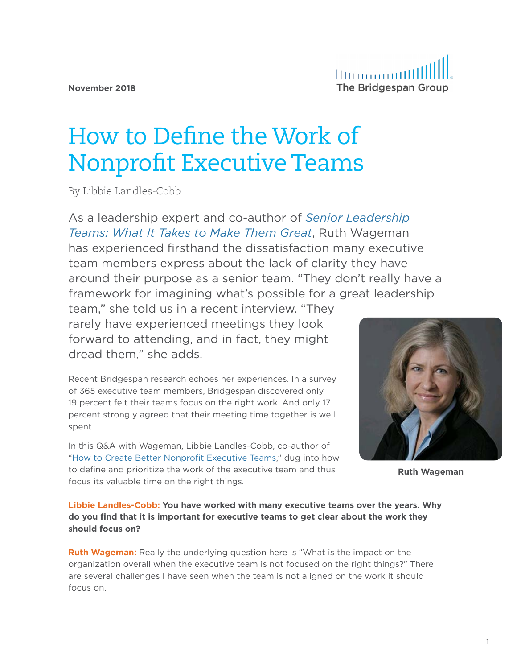# How to Define the Work of Nonprofit Executive Teams

By Libbie Landles-Cobb

As a leadership expert and co-author of *[Senior Leadership](https://www.amazon.com/Senior-Leadership-Teams-Center-Public/dp/1422103366/ref=sr_1_1?ie=UTF8&qid=1540565438&sr=8-1&keywords=ruth+wageman)  [Teams: What It Takes to Make Them Great](https://www.amazon.com/Senior-Leadership-Teams-Center-Public/dp/1422103366/ref=sr_1_1?ie=UTF8&qid=1540565438&sr=8-1&keywords=ruth+wageman)*, Ruth Wageman has experienced firsthand the dissatisfaction many executive team members express about the lack of clarity they have around their purpose as a senior team. "They don't really have a framework for imagining what's possible for a great leadership

team," she told us in a recent interview. "They rarely have experienced meetings they look forward to attending, and in fact, they might dread them," she adds.

Recent Bridgespan research echoes her experiences. In a survey of 365 executive team members, Bridgespan discovered only 19 percent felt their teams focus on the right work. And only 17 percent strongly agreed that their meeting time together is well spent.

In this Q&A with Wageman, Libbie Landles-Cobb, co-author of ["How to Create Better Nonprofit Executive Teams](https://ssir.org/articles/entry/how_to_create_better_nonprofit_executive_teams)," dug into how to define and prioritize the work of the executive team and thus focus its valuable time on the right things.



**Ruth Wageman**

**Libbie Landles-Cobb: You have worked with many executive teams over the years. Why do you find that it is important for executive teams to get clear about the work they should focus on?**

**Ruth Wageman:** Really the underlying question here is "What is the impact on the organization overall when the executive team is not focused on the right things?" There are several challenges I have seen when the team is not aligned on the work it should focus on.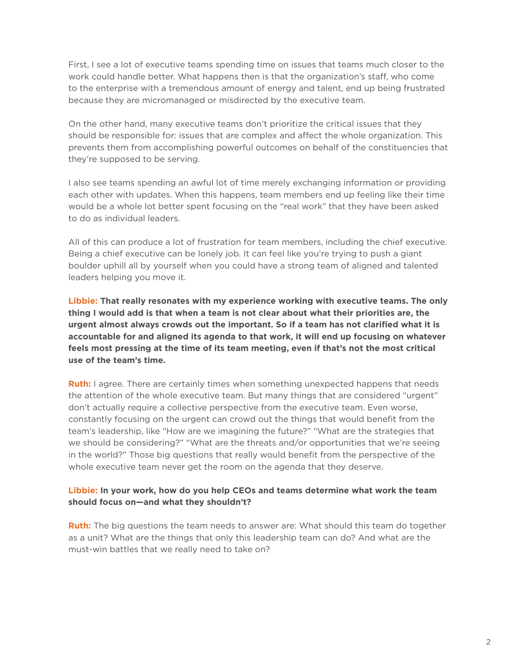First, I see a lot of executive teams spending time on issues that teams much closer to the work could handle better. What happens then is that the organization's staff, who come to the enterprise with a tremendous amount of energy and talent, end up being frustrated because they are micromanaged or misdirected by the executive team.

On the other hand, many executive teams don't prioritize the critical issues that they should be responsible for: issues that are complex and affect the whole organization. This prevents them from accomplishing powerful outcomes on behalf of the constituencies that they're supposed to be serving.

I also see teams spending an awful lot of time merely exchanging information or providing each other with updates. When this happens, team members end up feeling like their time would be a whole lot better spent focusing on the "real work" that they have been asked to do as individual leaders.

All of this can produce a lot of frustration for team members, including the chief executive. Being a chief executive can be lonely job. It can feel like you're trying to push a giant boulder uphill all by yourself when you could have a strong team of aligned and talented leaders helping you move it.

**Libbie: That really resonates with my experience working with executive teams. The only thing I would add is that when a team is not clear about what their priorities are, the urgent almost always crowds out the important. So if a team has not clarified what it is accountable for and aligned its agenda to that work, it will end up focusing on whatever feels most pressing at the time of its team meeting, even if that's not the most critical use of the team's time.**

**Ruth:** I agree. There are certainly times when something unexpected happens that needs the attention of the whole executive team. But many things that are considered "urgent" don't actually require a collective perspective from the executive team. Even worse, constantly focusing on the urgent can crowd out the things that would benefit from the team's leadership, like "How are we imagining the future?" "What are the strategies that we should be considering?" "What are the threats and/or opportunities that we're seeing in the world?" Those big questions that really would benefit from the perspective of the whole executive team never get the room on the agenda that they deserve.

#### **Libbie: In your work, how do you help CEOs and teams determine what work the team should focus on—and what they shouldn't?**

**Ruth:** The big questions the team needs to answer are: What should this team do together as a unit? What are the things that only this leadership team can do? And what are the must-win battles that we really need to take on?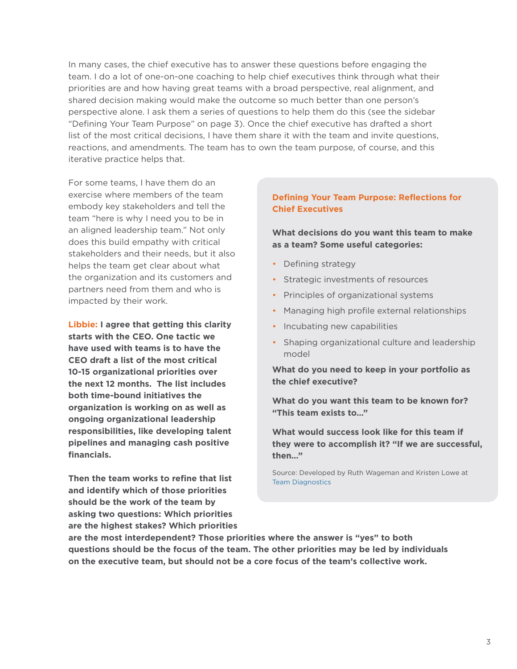In many cases, the chief executive has to answer these questions before engaging the team. I do a lot of one-on-one coaching to help chief executives think through what their priorities are and how having great teams with a broad perspective, real alignment, and shared decision making would make the outcome so much better than one person's perspective alone. I ask them a series of questions to help them do this (see the sidebar "Defining Your Team Purpose" on page 3). Once the chief executive has drafted a short list of the most critical decisions, I have them share it with the team and invite questions, reactions, and amendments. The team has to own the team purpose, of course, and this iterative practice helps that.

For some teams, I have them do an exercise where members of the team embody key stakeholders and tell the team "here is why I need you to be in an aligned leadership team." Not only does this build empathy with critical stakeholders and their needs, but it also helps the team get clear about what the organization and its customers and partners need from them and who is impacted by their work.

**Libbie: I agree that getting this clarity starts with the CEO. One tactic we have used with teams is to have the CEO draft a list of the most critical 10-15 organizational priorities over the next 12 months. The list includes both time-bound initiatives the organization is working on as well as ongoing organizational leadership responsibilities, like developing talent pipelines and managing cash positive financials.** 

**Then the team works to refine that list and identify which of those priorities should be the work of the team by asking two questions: Which priorities are the highest stakes? Which priorities** 

## **Defining Your Team Purpose: Reflections for Chief Executives**

**What decisions do you want this team to make as a team? Some useful categories:**

- Defining strategy
- Strategic investments of resources
- Principles of organizational systems
- Managing high profile external relationships
- Incubating new capabilities
- Shaping organizational culture and leadership model

**What do you need to keep in your portfolio as the chief executive?**

**What do you want this team to be known for? "This team exists to…"**

**What would success look like for this team if they were to accomplish it? "If we are successful, then…"**

Source: Developed by Ruth Wageman and Kristen Lowe at [Team Diagnostics](https://www.teamdiagnosticsurvey.com/)

**are the most interdependent? Those priorities where the answer is "yes" to both questions should be the focus of the team. The other priorities may be led by individuals on the executive team, but should not be a core focus of the team's collective work.**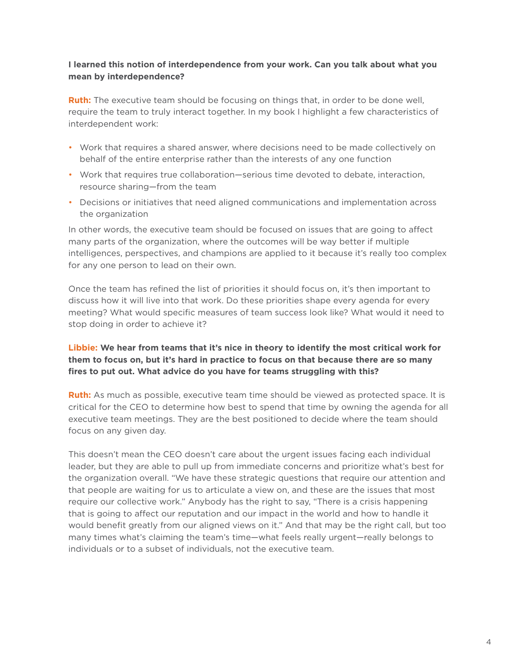## **I learned this notion of interdependence from your work. Can you talk about what you mean by interdependence?**

**Ruth:** The executive team should be focusing on things that, in order to be done well, require the team to truly interact together. In my book I highlight a few characteristics of interdependent work:

- Work that requires a shared answer, where decisions need to be made collectively on behalf of the entire enterprise rather than the interests of any one function
- Work that requires true collaboration—serious time devoted to debate, interaction, resource sharing—from the team
- Decisions or initiatives that need aligned communications and implementation across the organization

In other words, the executive team should be focused on issues that are going to affect many parts of the organization, where the outcomes will be way better if multiple intelligences, perspectives, and champions are applied to it because it's really too complex for any one person to lead on their own.

Once the team has refined the list of priorities it should focus on, it's then important to discuss how it will live into that work. Do these priorities shape every agenda for every meeting? What would specific measures of team success look like? What would it need to stop doing in order to achieve it?

## **Libbie: We hear from teams that it's nice in theory to identify the most critical work for them to focus on, but it's hard in practice to focus on that because there are so many fires to put out. What advice do you have for teams struggling with this?**

**Ruth:** As much as possible, executive team time should be viewed as protected space. It is critical for the CEO to determine how best to spend that time by owning the agenda for all executive team meetings. They are the best positioned to decide where the team should focus on any given day.

This doesn't mean the CEO doesn't care about the urgent issues facing each individual leader, but they are able to pull up from immediate concerns and prioritize what's best for the organization overall. "We have these strategic questions that require our attention and that people are waiting for us to articulate a view on, and these are the issues that most require our collective work." Anybody has the right to say, "There is a crisis happening that is going to affect our reputation and our impact in the world and how to handle it would benefit greatly from our aligned views on it." And that may be the right call, but too many times what's claiming the team's time—what feels really urgent—really belongs to individuals or to a subset of individuals, not the executive team.